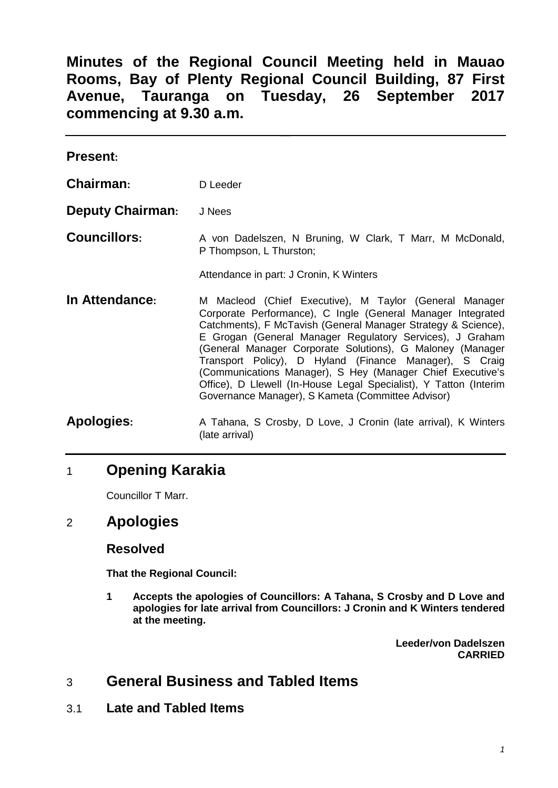**Minutes of the Regional Council Meeting held in Mauao Rooms, Bay of Plenty Regional Council Building, 87 First Avenue, Tauranga on Tuesday, 26 September 2017 commencing at 9.30 a.m.**

| <b>Present:</b>         |                                                                                                                                                                                                                                                                                                                                                                                                                                                                                                                                                                   |
|-------------------------|-------------------------------------------------------------------------------------------------------------------------------------------------------------------------------------------------------------------------------------------------------------------------------------------------------------------------------------------------------------------------------------------------------------------------------------------------------------------------------------------------------------------------------------------------------------------|
| Chairman:               | D Leeder                                                                                                                                                                                                                                                                                                                                                                                                                                                                                                                                                          |
| <b>Deputy Chairman:</b> | J Nees                                                                                                                                                                                                                                                                                                                                                                                                                                                                                                                                                            |
| <b>Councillors:</b>     | A von Dadelszen, N Bruning, W Clark, T Marr, M McDonald,<br>P Thompson, L Thurston;<br>Attendance in part: J Cronin, K Winters                                                                                                                                                                                                                                                                                                                                                                                                                                    |
| In Attendance:          | M Macleod (Chief Executive), M Taylor (General Manager<br>Corporate Performance), C Ingle (General Manager Integrated<br>Catchments), F McTavish (General Manager Strategy & Science),<br>E Grogan (General Manager Regulatory Services), J Graham<br>(General Manager Corporate Solutions), G Maloney (Manager<br>Transport Policy), D Hyland (Finance Manager), S Craig<br>(Communications Manager), S Hey (Manager Chief Executive's<br>Office), D Llewell (In-House Legal Specialist), Y Tatton (Interim<br>Governance Manager), S Kameta (Committee Advisor) |
| <b>Apologies:</b>       | A Tahana, S Crosby, D Love, J Cronin (late arrival), K Winters<br>(late arrival)                                                                                                                                                                                                                                                                                                                                                                                                                                                                                  |

# 1 **Opening Karakia**

Councillor T Marr.

## 2 **Apologies**

## **Resolved**

**That the Regional Council:**

**1 Accepts the apologies of Councillors: A Tahana, S Crosby and D Love and apologies for late arrival from Councillors: J Cronin and K Winters tendered at the meeting.**

> **Leeder/von Dadelszen CARRIED**

# 3 **General Business and Tabled Items**

3.1 **Late and Tabled Items**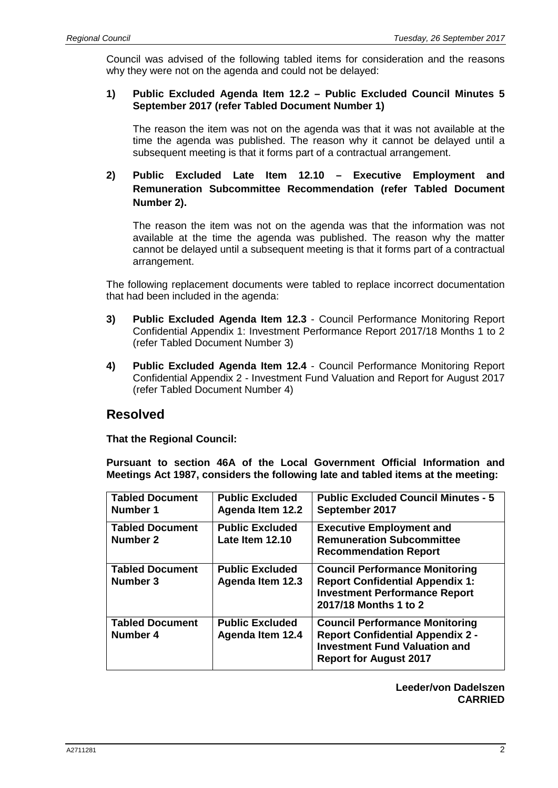Council was advised of the following tabled items for consideration and the reasons why they were not on the agenda and could not be delayed:

### **1) Public Excluded Agenda Item 12.2 – Public Excluded Council Minutes 5 September 2017 (refer Tabled Document Number 1)**

The reason the item was not on the agenda was that it was not available at the time the agenda was published. The reason why it cannot be delayed until a subsequent meeting is that it forms part of a contractual arrangement.

### **2) Public Excluded Late Item 12.10 – Executive Employment and Remuneration Subcommittee Recommendation (refer Tabled Document Number 2).**

The reason the item was not on the agenda was that the information was not available at the time the agenda was published. The reason why the matter cannot be delayed until a subsequent meeting is that it forms part of a contractual arrangement.

The following replacement documents were tabled to replace incorrect documentation that had been included in the agenda:

- **3) Public Excluded Agenda Item 12.3** Council Performance Monitoring Report Confidential Appendix 1: Investment Performance Report 2017/18 Months 1 to 2 (refer Tabled Document Number 3)
- **4) Public Excluded Agenda Item 12.4** Council Performance Monitoring Report Confidential Appendix 2 - Investment Fund Valuation and Report for August 2017 (refer Tabled Document Number 4)

## **Resolved**

**That the Regional Council:**

**Pursuant to section 46A of the Local Government Official Information and Meetings Act 1987, considers the following late and tabled items at the meeting:**

| <b>Tabled Document</b><br>Number 1 | <b>Public Excluded</b><br><b>Agenda Item 12.2</b> | <b>Public Excluded Council Minutes - 5</b><br>September 2017                                                                                              |
|------------------------------------|---------------------------------------------------|-----------------------------------------------------------------------------------------------------------------------------------------------------------|
| <b>Tabled Document</b><br>Number 2 | <b>Public Excluded</b><br>Late Item 12.10         | <b>Executive Employment and</b><br><b>Remuneration Subcommittee</b><br><b>Recommendation Report</b>                                                       |
| <b>Tabled Document</b><br>Number 3 | <b>Public Excluded</b><br><b>Agenda Item 12.3</b> | <b>Council Performance Monitoring</b><br><b>Report Confidential Appendix 1:</b><br><b>Investment Performance Report</b><br>2017/18 Months 1 to 2          |
| <b>Tabled Document</b><br>Number 4 | <b>Public Excluded</b><br><b>Agenda Item 12.4</b> | <b>Council Performance Monitoring</b><br><b>Report Confidential Appendix 2 -</b><br><b>Investment Fund Valuation and</b><br><b>Report for August 2017</b> |

**Leeder/von Dadelszen CARRIED**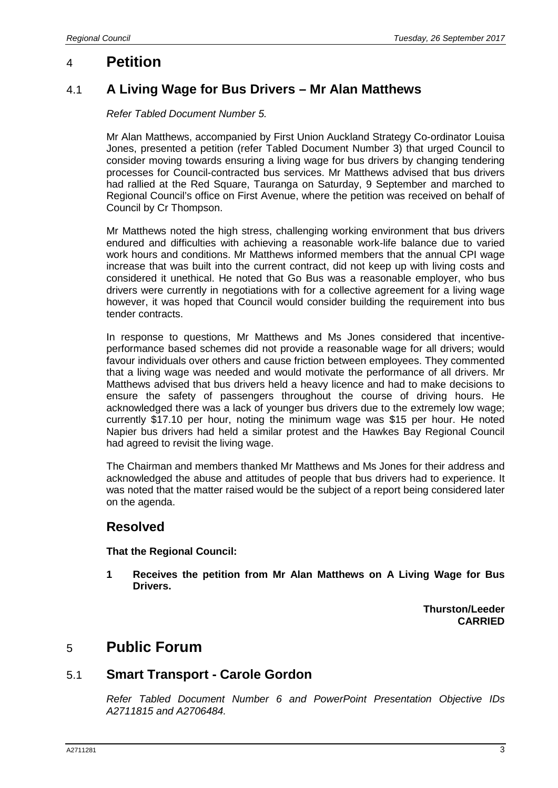## 4 **Petition**

## 4.1 **A Living Wage for Bus Drivers – Mr Alan Matthews**

### *Refer Tabled Document Number 5.*

Mr Alan Matthews, accompanied by First Union Auckland Strategy Co-ordinator Louisa Jones, presented a petition (refer Tabled Document Number 3) that urged Council to consider moving towards ensuring a living wage for bus drivers by changing tendering processes for Council-contracted bus services. Mr Matthews advised that bus drivers had rallied at the Red Square, Tauranga on Saturday, 9 September and marched to Regional Council's office on First Avenue, where the petition was received on behalf of Council by Cr Thompson.

Mr Matthews noted the high stress, challenging working environment that bus drivers endured and difficulties with achieving a reasonable work-life balance due to varied work hours and conditions. Mr Matthews informed members that the annual CPI wage increase that was built into the current contract, did not keep up with living costs and considered it unethical. He noted that Go Bus was a reasonable employer, who bus drivers were currently in negotiations with for a collective agreement for a living wage however, it was hoped that Council would consider building the requirement into bus tender contracts.

In response to questions, Mr Matthews and Ms Jones considered that incentiveperformance based schemes did not provide a reasonable wage for all drivers; would favour individuals over others and cause friction between employees. They commented that a living wage was needed and would motivate the performance of all drivers. Mr Matthews advised that bus drivers held a heavy licence and had to make decisions to ensure the safety of passengers throughout the course of driving hours. He acknowledged there was a lack of younger bus drivers due to the extremely low wage; currently \$17.10 per hour, noting the minimum wage was \$15 per hour. He noted Napier bus drivers had held a similar protest and the Hawkes Bay Regional Council had agreed to revisit the living wage.

The Chairman and members thanked Mr Matthews and Ms Jones for their address and acknowledged the abuse and attitudes of people that bus drivers had to experience. It was noted that the matter raised would be the subject of a report being considered later on the agenda.

### **Resolved**

### **That the Regional Council:**

**1 Receives the petition from Mr Alan Matthews on A Living Wage for Bus Drivers.**

> **Thurston/Leeder CARRIED**

## 5 **Public Forum**

### 5.1 **Smart Transport - Carole Gordon**

*Refer Tabled Document Number 6 and PowerPoint Presentation Objective IDs A2711815 and A2706484.*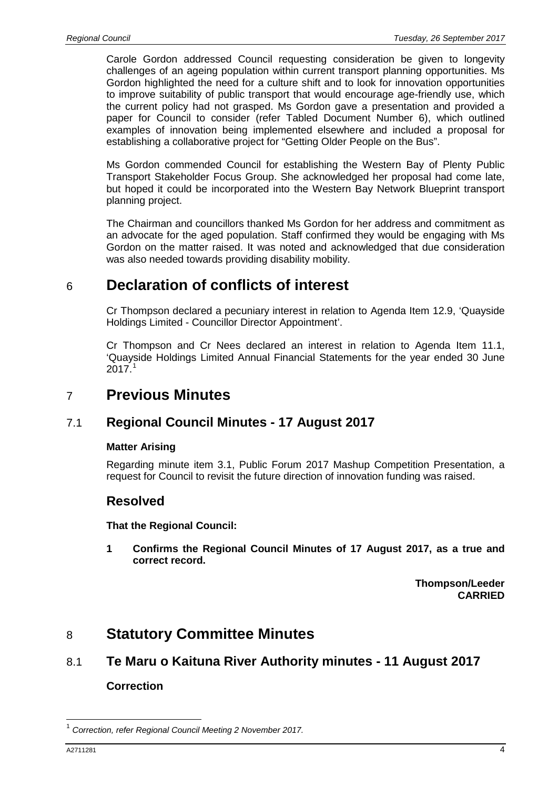Carole Gordon addressed Council requesting consideration be given to longevity challenges of an ageing population within current transport planning opportunities. Ms Gordon highlighted the need for a culture shift and to look for innovation opportunities to improve suitability of public transport that would encourage age-friendly use, which the current policy had not grasped. Ms Gordon gave a presentation and provided a paper for Council to consider (refer Tabled Document Number 6), which outlined examples of innovation being implemented elsewhere and included a proposal for establishing a collaborative project for "Getting Older People on the Bus".

Ms Gordon commended Council for establishing the Western Bay of Plenty Public Transport Stakeholder Focus Group. She acknowledged her proposal had come late, but hoped it could be incorporated into the Western Bay Network Blueprint transport planning project.

The Chairman and councillors thanked Ms Gordon for her address and commitment as an advocate for the aged population. Staff confirmed they would be engaging with Ms Gordon on the matter raised. It was noted and acknowledged that due consideration was also needed towards providing disability mobility.

# 6 **Declaration of conflicts of interest**

Cr Thompson declared a pecuniary interest in relation to Agenda Item 12.9, 'Quayside Holdings Limited - Councillor Director Appointment'.

Cr Thompson and Cr Nees declared an interest in relation to Agenda Item 11.1, 'Quayside Holdings Limited Annual Financial Statements for the year ended 30 June  $2017<sup>1</sup>$  $2017<sup>1</sup>$  $2017<sup>1</sup>$ 

# 7 **Previous Minutes**

## 7.1 **Regional Council Minutes - 17 August 2017**

### **Matter Arising**

Regarding minute item 3.1, Public Forum 2017 Mashup Competition Presentation, a request for Council to revisit the future direction of innovation funding was raised.

## **Resolved**

### **That the Regional Council:**

**1 Confirms the Regional Council Minutes of 17 August 2017, as a true and correct record.**

> **Thompson/Leeder CARRIED**

## 8 **Statutory Committee Minutes**

# 8.1 **Te Maru o Kaituna River Authority minutes - 11 August 2017**

### **Correction**

<span id="page-3-0"></span> <sup>1</sup> *Correction, refer Regional Council Meeting 2 November 2017.*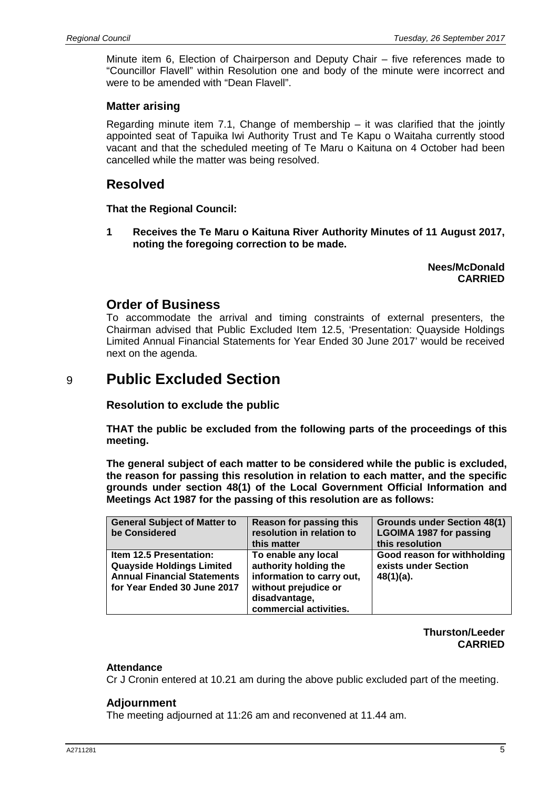Minute item 6, Election of Chairperson and Deputy Chair – five references made to "Councillor Flavell" within Resolution one and body of the minute were incorrect and were to be amended with "Dean Flavell".

### **Matter arising**

Regarding minute item 7.1, Change of membership  $-$  it was clarified that the jointly appointed seat of Tapuika Iwi Authority Trust and Te Kapu o Waitaha currently stood vacant and that the scheduled meeting of Te Maru o Kaituna on 4 October had been cancelled while the matter was being resolved.

## **Resolved**

**That the Regional Council:**

**1 Receives the Te Maru o Kaituna River Authority Minutes of 11 August 2017, noting the foregoing correction to be made.**

> **Nees/McDonald CARRIED**

### **Order of Business**

To accommodate the arrival and timing constraints of external presenters, the Chairman advised that Public Excluded Item 12.5, 'Presentation: Quayside Holdings Limited Annual Financial Statements for Year Ended 30 June 2017' would be received next on the agenda.

## 9 **Public Excluded Section**

**Resolution to exclude the public**

**THAT the public be excluded from the following parts of the proceedings of this meeting.**

**The general subject of each matter to be considered while the public is excluded, the reason for passing this resolution in relation to each matter, and the specific grounds under section 48(1) of the Local Government Official Information and Meetings Act 1987 for the passing of this resolution are as follows:**

| <b>General Subject of Matter to</b><br>be Considered                                                                                    | <b>Reason for passing this</b><br>resolution in relation to<br>this matter                                                                   | <b>Grounds under Section 48(1)</b><br><b>LGOIMA 1987 for passing</b><br>this resolution |
|-----------------------------------------------------------------------------------------------------------------------------------------|----------------------------------------------------------------------------------------------------------------------------------------------|-----------------------------------------------------------------------------------------|
| <b>Item 12.5 Presentation:</b><br><b>Quayside Holdings Limited</b><br><b>Annual Financial Statements</b><br>for Year Ended 30 June 2017 | To enable any local<br>authority holding the<br>information to carry out,<br>without prejudice or<br>disadvantage,<br>commercial activities. | Good reason for withholding<br>exists under Section<br>$48(1)(a)$ .                     |

**Thurston/Leeder CARRIED**

### **Attendance**

Cr J Cronin entered at 10.21 am during the above public excluded part of the meeting.

### **Adjournment**

The meeting adjourned at 11:26 am and reconvened at 11.44 am.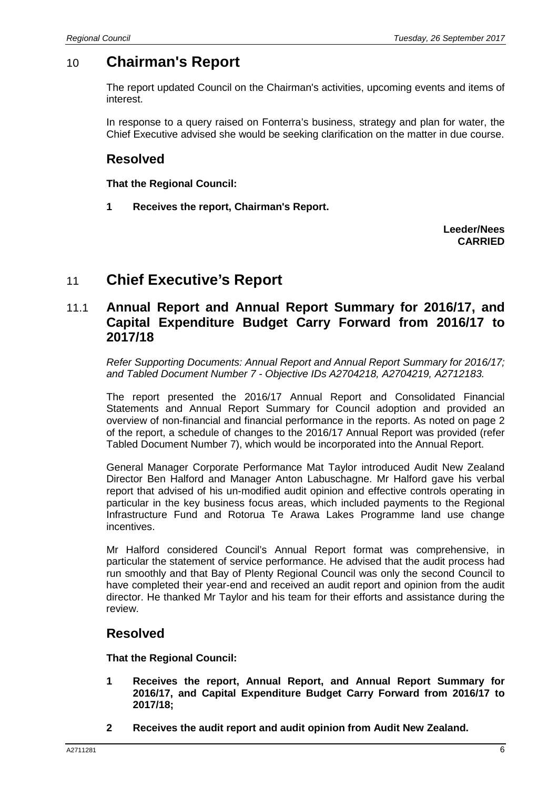# 10 **Chairman's Report**

The report updated Council on the Chairman's activities, upcoming events and items of interest.

In response to a query raised on Fonterra's business, strategy and plan for water, the Chief Executive advised she would be seeking clarification on the matter in due course.

## **Resolved**

**That the Regional Council:**

**1 Receives the report, Chairman's Report.**

**Leeder/Nees CARRIED**

# 11 **Chief Executive's Report**

## 11.1 **Annual Report and Annual Report Summary for 2016/17, and Capital Expenditure Budget Carry Forward from 2016/17 to 2017/18**

*Refer Supporting Documents: Annual Report and Annual Report Summary for 2016/17; and Tabled Document Number 7 - Objective IDs A2704218, A2704219, A2712183.*

The report presented the 2016/17 Annual Report and Consolidated Financial Statements and Annual Report Summary for Council adoption and provided an overview of non-financial and financial performance in the reports. As noted on page 2 of the report, a schedule of changes to the 2016/17 Annual Report was provided (refer Tabled Document Number 7), which would be incorporated into the Annual Report.

General Manager Corporate Performance Mat Taylor introduced Audit New Zealand Director Ben Halford and Manager Anton Labuschagne. Mr Halford gave his verbal report that advised of his un-modified audit opinion and effective controls operating in particular in the key business focus areas, which included payments to the Regional Infrastructure Fund and Rotorua Te Arawa Lakes Programme land use change incentives.

Mr Halford considered Council's Annual Report format was comprehensive, in particular the statement of service performance. He advised that the audit process had run smoothly and that Bay of Plenty Regional Council was only the second Council to have completed their year-end and received an audit report and opinion from the audit director. He thanked Mr Taylor and his team for their efforts and assistance during the review.

## **Resolved**

**That the Regional Council:**

- **1 Receives the report, Annual Report, and Annual Report Summary for 2016/17, and Capital Expenditure Budget Carry Forward from 2016/17 to 2017/18;**
- **2 Receives the audit report and audit opinion from Audit New Zealand.**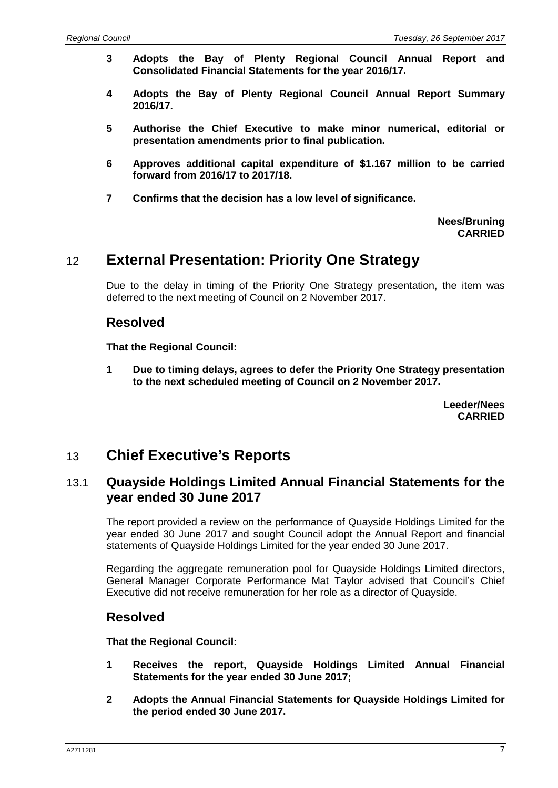- **3 Adopts the Bay of Plenty Regional Council Annual Report and Consolidated Financial Statements for the year 2016/17.**
- **4 Adopts the Bay of Plenty Regional Council Annual Report Summary 2016/17.**
- **5 Authorise the Chief Executive to make minor numerical, editorial or presentation amendments prior to final publication.**
- **6 Approves additional capital expenditure of \$1.167 million to be carried forward from 2016/17 to 2017/18.**
- **7 Confirms that the decision has a low level of significance.**

#### **Nees/Bruning CARRIED**

## 12 **External Presentation: Priority One Strategy**

Due to the delay in timing of the Priority One Strategy presentation, the item was deferred to the next meeting of Council on 2 November 2017.

## **Resolved**

**That the Regional Council:**

**1 Due to timing delays, agrees to defer the Priority One Strategy presentation to the next scheduled meeting of Council on 2 November 2017.**

> **Leeder/Nees CARRIED**

## 13 **Chief Executive's Reports**

## 13.1 **Quayside Holdings Limited Annual Financial Statements for the year ended 30 June 2017**

The report provided a review on the performance of Quayside Holdings Limited for the year ended 30 June 2017 and sought Council adopt the Annual Report and financial statements of Quayside Holdings Limited for the year ended 30 June 2017.

Regarding the aggregate remuneration pool for Quayside Holdings Limited directors, General Manager Corporate Performance Mat Taylor advised that Council's Chief Executive did not receive remuneration for her role as a director of Quayside.

## **Resolved**

**That the Regional Council:**

- **1 Receives the report, Quayside Holdings Limited Annual Financial Statements for the year ended 30 June 2017;**
- **2 Adopts the Annual Financial Statements for Quayside Holdings Limited for the period ended 30 June 2017.**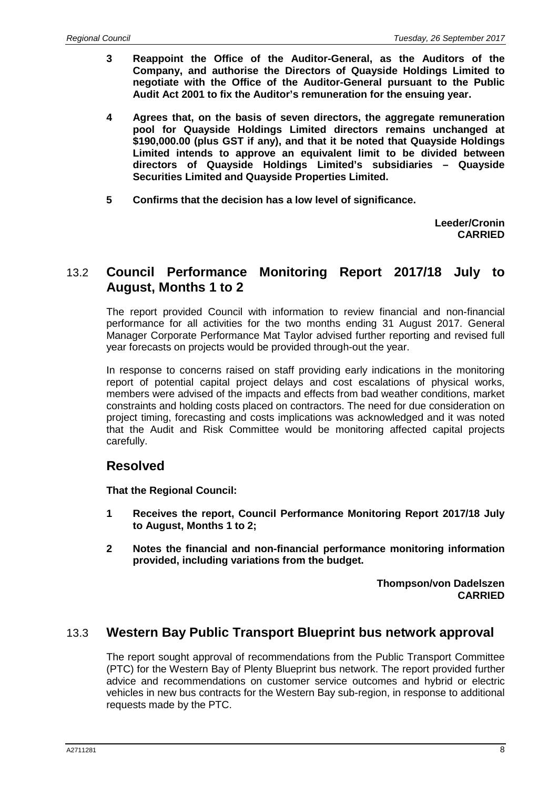- **3 Reappoint the Office of the Auditor-General, as the Auditors of the Company, and authorise the Directors of Quayside Holdings Limited to negotiate with the Office of the Auditor-General pursuant to the Public Audit Act 2001 to fix the Auditor's remuneration for the ensuing year.**
- **4 Agrees that, on the basis of seven directors, the aggregate remuneration pool for Quayside Holdings Limited directors remains unchanged at \$190,000.00 (plus GST if any), and that it be noted that Quayside Holdings Limited intends to approve an equivalent limit to be divided between directors of Quayside Holdings Limited's subsidiaries – Quayside Securities Limited and Quayside Properties Limited.**
- **5 Confirms that the decision has a low level of significance.**

**Leeder/Cronin CARRIED**

## 13.2 **Council Performance Monitoring Report 2017/18 July to August, Months 1 to 2**

The report provided Council with information to review financial and non-financial performance for all activities for the two months ending 31 August 2017. General Manager Corporate Performance Mat Taylor advised further reporting and revised full year forecasts on projects would be provided through-out the year.

In response to concerns raised on staff providing early indications in the monitoring report of potential capital project delays and cost escalations of physical works, members were advised of the impacts and effects from bad weather conditions, market constraints and holding costs placed on contractors. The need for due consideration on project timing, forecasting and costs implications was acknowledged and it was noted that the Audit and Risk Committee would be monitoring affected capital projects carefully.

## **Resolved**

**That the Regional Council:**

- **1 Receives the report, Council Performance Monitoring Report 2017/18 July to August, Months 1 to 2;**
- **2 Notes the financial and non-financial performance monitoring information provided, including variations from the budget.**

**Thompson/von Dadelszen CARRIED**

## 13.3 **Western Bay Public Transport Blueprint bus network approval**

The report sought approval of recommendations from the Public Transport Committee (PTC) for the Western Bay of Plenty Blueprint bus network. The report provided further advice and recommendations on customer service outcomes and hybrid or electric vehicles in new bus contracts for the Western Bay sub-region, in response to additional requests made by the PTC.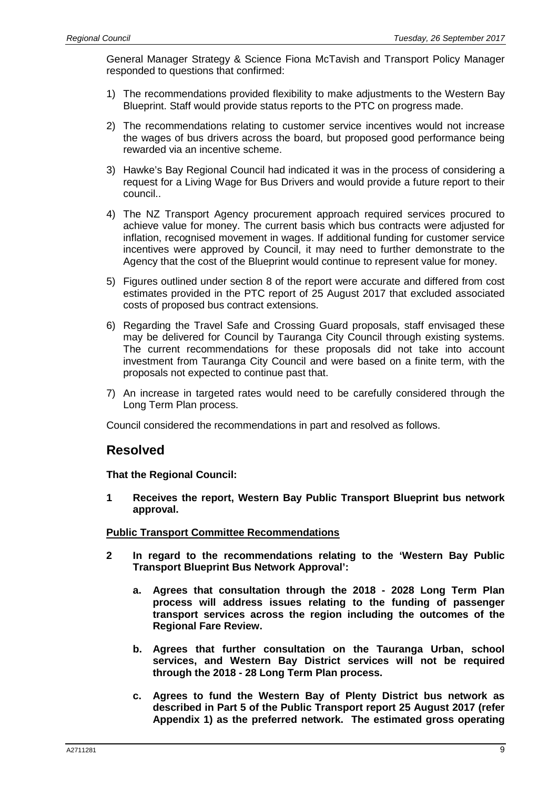General Manager Strategy & Science Fiona McTavish and Transport Policy Manager responded to questions that confirmed:

- 1) The recommendations provided flexibility to make adjustments to the Western Bay Blueprint. Staff would provide status reports to the PTC on progress made.
- 2) The recommendations relating to customer service incentives would not increase the wages of bus drivers across the board, but proposed good performance being rewarded via an incentive scheme.
- 3) Hawke's Bay Regional Council had indicated it was in the process of considering a request for a Living Wage for Bus Drivers and would provide a future report to their council..
- 4) The NZ Transport Agency procurement approach required services procured to achieve value for money. The current basis which bus contracts were adjusted for inflation, recognised movement in wages. If additional funding for customer service incentives were approved by Council, it may need to further demonstrate to the Agency that the cost of the Blueprint would continue to represent value for money.
- 5) Figures outlined under section 8 of the report were accurate and differed from cost estimates provided in the PTC report of 25 August 2017 that excluded associated costs of proposed bus contract extensions.
- 6) Regarding the Travel Safe and Crossing Guard proposals, staff envisaged these may be delivered for Council by Tauranga City Council through existing systems. The current recommendations for these proposals did not take into account investment from Tauranga City Council and were based on a finite term, with the proposals not expected to continue past that.
- 7) An increase in targeted rates would need to be carefully considered through the Long Term Plan process.

Council considered the recommendations in part and resolved as follows.

## **Resolved**

**That the Regional Council:**

**1 Receives the report, Western Bay Public Transport Blueprint bus network approval.**

### **Public Transport Committee Recommendations**

- **2 In regard to the recommendations relating to the 'Western Bay Public Transport Blueprint Bus Network Approval':**
	- **a. Agrees that consultation through the 2018 - 2028 Long Term Plan process will address issues relating to the funding of passenger transport services across the region including the outcomes of the Regional Fare Review.**
	- **b. Agrees that further consultation on the Tauranga Urban, school services, and Western Bay District services will not be required through the 2018 - 28 Long Term Plan process.**
	- **c. Agrees to fund the Western Bay of Plenty District bus network as described in Part 5 of the Public Transport report 25 August 2017 (refer Appendix 1) as the preferred network. The estimated gross operating**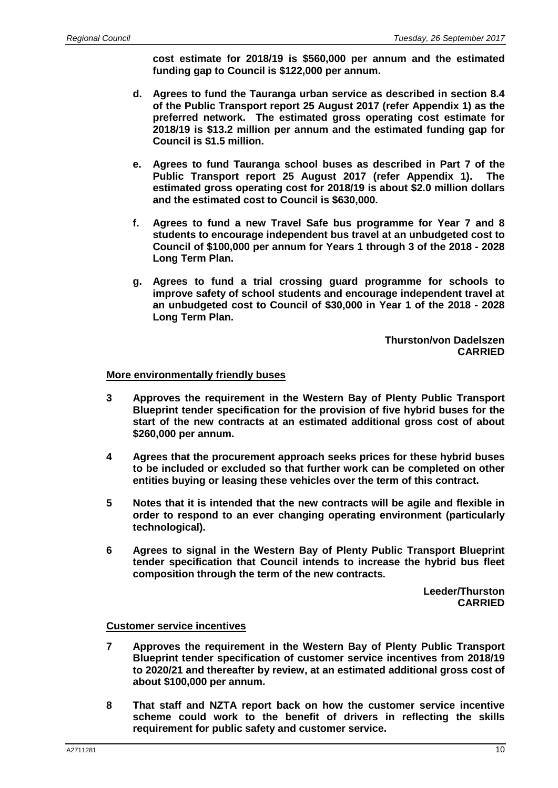**cost estimate for 2018/19 is \$560,000 per annum and the estimated funding gap to Council is \$122,000 per annum.**

- **d. Agrees to fund the Tauranga urban service as described in section 8.4 of the Public Transport report 25 August 2017 (refer Appendix 1) as the preferred network. The estimated gross operating cost estimate for 2018/19 is \$13.2 million per annum and the estimated funding gap for Council is \$1.5 million.**
- **e. Agrees to fund Tauranga school buses as described in Part 7 of the Public Transport report 25 August 2017 (refer Appendix 1). The estimated gross operating cost for 2018/19 is about \$2.0 million dollars and the estimated cost to Council is \$630,000.**
- **f. Agrees to fund a new Travel Safe bus programme for Year 7 and 8 students to encourage independent bus travel at an unbudgeted cost to Council of \$100,000 per annum for Years 1 through 3 of the 2018 - 2028 Long Term Plan.**
- **g. Agrees to fund a trial crossing guard programme for schools to improve safety of school students and encourage independent travel at an unbudgeted cost to Council of \$30,000 in Year 1 of the 2018 - 2028 Long Term Plan.**

**Thurston/von Dadelszen CARRIED**

#### **More environmentally friendly buses**

- **3 Approves the requirement in the Western Bay of Plenty Public Transport Blueprint tender specification for the provision of five hybrid buses for the start of the new contracts at an estimated additional gross cost of about \$260,000 per annum.**
- **4 Agrees that the procurement approach seeks prices for these hybrid buses to be included or excluded so that further work can be completed on other entities buying or leasing these vehicles over the term of this contract.**
- **5 Notes that it is intended that the new contracts will be agile and flexible in order to respond to an ever changing operating environment (particularly technological).**
- **6 Agrees to signal in the Western Bay of Plenty Public Transport Blueprint tender specification that Council intends to increase the hybrid bus fleet composition through the term of the new contracts.**

**Leeder/Thurston CARRIED**

#### **Customer service incentives**

- **7 Approves the requirement in the Western Bay of Plenty Public Transport Blueprint tender specification of customer service incentives from 2018/19 to 2020/21 and thereafter by review, at an estimated additional gross cost of about \$100,000 per annum.**
- **8 That staff and NZTA report back on how the customer service incentive scheme could work to the benefit of drivers in reflecting the skills requirement for public safety and customer service.**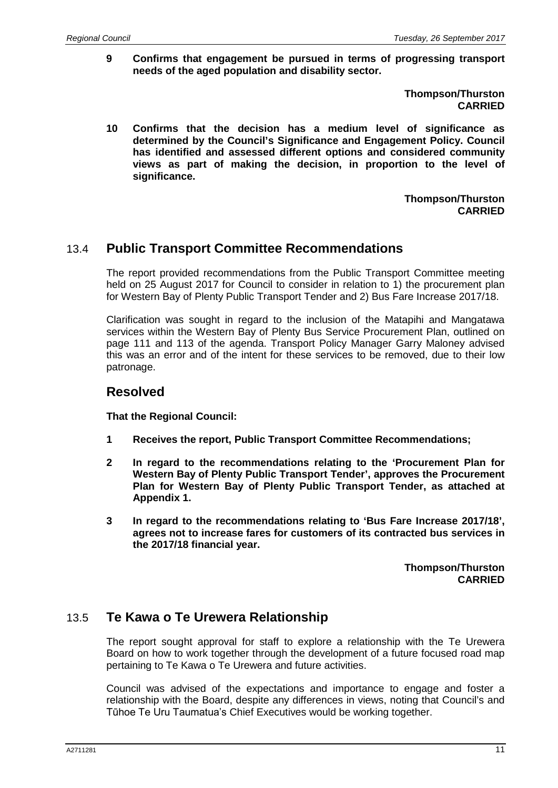**9 Confirms that engagement be pursued in terms of progressing transport needs of the aged population and disability sector.**

> **Thompson/Thurston CARRIED**

**10 Confirms that the decision has a medium level of significance as determined by the Council's Significance and Engagement Policy. Council has identified and assessed different options and considered community views as part of making the decision, in proportion to the level of significance.**

> **Thompson/Thurston CARRIED**

### 13.4 **Public Transport Committee Recommendations**

The report provided recommendations from the Public Transport Committee meeting held on 25 August 2017 for Council to consider in relation to 1) the procurement plan for Western Bay of Plenty Public Transport Tender and 2) Bus Fare Increase 2017/18.

Clarification was sought in regard to the inclusion of the Matapihi and Mangatawa services within the Western Bay of Plenty Bus Service Procurement Plan, outlined on page 111 and 113 of the agenda. Transport Policy Manager Garry Maloney advised this was an error and of the intent for these services to be removed, due to their low patronage.

### **Resolved**

**That the Regional Council:**

- **1 Receives the report, Public Transport Committee Recommendations;**
- **2 In regard to the recommendations relating to the 'Procurement Plan for Western Bay of Plenty Public Transport Tender', approves the Procurement Plan for Western Bay of Plenty Public Transport Tender, as attached at Appendix 1.**
- **3 In regard to the recommendations relating to 'Bus Fare Increase 2017/18', agrees not to increase fares for customers of its contracted bus services in the 2017/18 financial year.**

**Thompson/Thurston CARRIED**

### 13.5 **Te Kawa o Te Urewera Relationship**

The report sought approval for staff to explore a relationship with the Te Urewera Board on how to work together through the development of a future focused road map pertaining to Te Kawa o Te Urewera and future activities.

Council was advised of the expectations and importance to engage and foster a relationship with the Board, despite any differences in views, noting that Council's and Tūhoe Te Uru Taumatua's Chief Executives would be working together.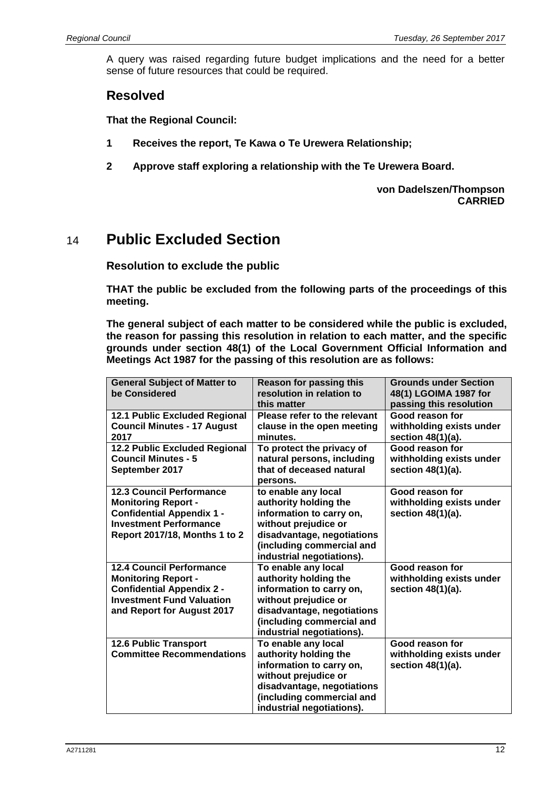A query was raised regarding future budget implications and the need for a better sense of future resources that could be required.

## **Resolved**

**That the Regional Council:**

- **1 Receives the report, Te Kawa o Te Urewera Relationship;**
- **2 Approve staff exploring a relationship with the Te Urewera Board.**

**von Dadelszen/Thompson CARRIED**

# 14 **Public Excluded Section**

**Resolution to exclude the public**

**THAT the public be excluded from the following parts of the proceedings of this meeting.**

**The general subject of each matter to be considered while the public is excluded, the reason for passing this resolution in relation to each matter, and the specific grounds under section 48(1) of the Local Government Official Information and Meetings Act 1987 for the passing of this resolution are as follows:**

| <b>General Subject of Matter to</b><br>be Considered                                                                                                                       | <b>Reason for passing this</b><br>resolution in relation to<br>this matter                                                                                                               | <b>Grounds under Section</b><br>48(1) LGOIMA 1987 for<br>passing this resolution |
|----------------------------------------------------------------------------------------------------------------------------------------------------------------------------|------------------------------------------------------------------------------------------------------------------------------------------------------------------------------------------|----------------------------------------------------------------------------------|
| 12.1 Public Excluded Regional<br><b>Council Minutes - 17 August</b><br>2017                                                                                                | Please refer to the relevant<br>clause in the open meeting<br>minutes.                                                                                                                   | Good reason for<br>withholding exists under<br>section 48(1)(a).                 |
| <b>12.2 Public Excluded Regional</b><br><b>Council Minutes - 5</b><br>September 2017                                                                                       | To protect the privacy of<br>natural persons, including<br>that of deceased natural<br>persons.                                                                                          | Good reason for<br>withholding exists under<br>section 48(1)(a).                 |
| <b>12.3 Council Performance</b><br><b>Monitoring Report -</b><br><b>Confidential Appendix 1 -</b><br><b>Investment Performance</b><br><b>Report 2017/18, Months 1 to 2</b> | to enable any local<br>authority holding the<br>information to carry on,<br>without prejudice or<br>disadvantage, negotiations<br>(including commercial and<br>industrial negotiations). | Good reason for<br>withholding exists under<br>section $48(1)(a)$ .              |
| <b>12.4 Council Performance</b><br><b>Monitoring Report -</b><br><b>Confidential Appendix 2 -</b><br><b>Investment Fund Valuation</b><br>and Report for August 2017        | To enable any local<br>authority holding the<br>information to carry on,<br>without prejudice or<br>disadvantage, negotiations<br>(including commercial and<br>industrial negotiations). | Good reason for<br>withholding exists under<br>section 48(1)(a).                 |
| <b>12.6 Public Transport</b><br><b>Committee Recommendations</b>                                                                                                           | To enable any local<br>authority holding the<br>information to carry on,<br>without prejudice or<br>disadvantage, negotiations<br>(including commercial and<br>industrial negotiations). | Good reason for<br>withholding exists under<br>section 48(1)(a).                 |